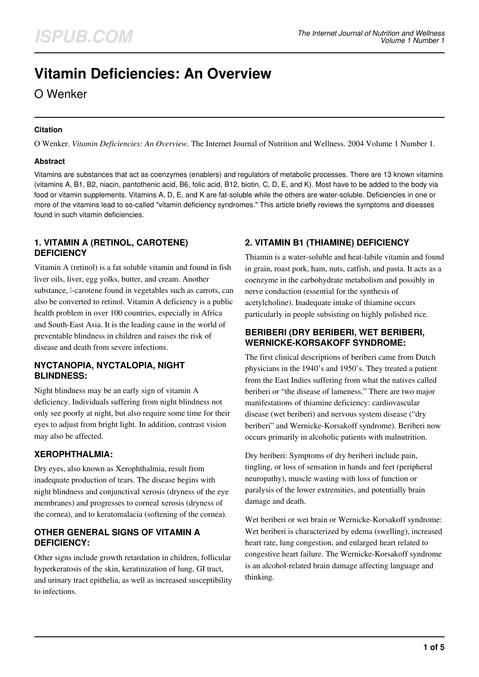# **Vitamin Deficiencies: An Overview**

## O Wenker

#### **Citation**

O Wenker. *Vitamin Deficiencies: An Overview*. The Internet Journal of Nutrition and Wellness. 2004 Volume 1 Number 1.

### **Abstract**

Vitamins are substances that act as coenzymes (enablers) and regulators of metabolic processes. There are 13 known vitamins (vitamins A, B1, B2, niacin, pantothenic acid, B6, folic acid, B12, biotin, C, D, E, and K). Most have to be added to the body via food or vitamin supplements. Vitamins A, D, E, and K are fat-soluble while the others are water-soluble. Deficiencies in one or more of the vitamins lead to so-called "vitamin deficiency syndromes." This article briefly reviews the symptoms and diseases found in such vitamin deficiencies.

## **1. VITAMIN A (RETINOL, CAROTENE) DEFICIENCY**

Vitamin A (retinol) is a fat soluble vitamin and found in fish liver oils, liver, egg yolks, butter, and cream. Another substance, β-carotene found in vegetables such as carrots, can also be converted to retinol. Vitamin A deficiency is a public health problem in over 100 countries, especially in Africa and South-East Asia. It is the leading cause in the world of preventable blindness in children and raises the risk of disease and death from severe infections.

### **NYCTANOPIA, NYCTALOPIA, NIGHT BLINDNESS:**

Night blindness may be an early sign of vitamin A deficiency. Individuals suffering from night blindness not only see poorly at night, but also require some time for their eyes to adjust from bright light. In addition, contrast vision may also be affected.

## **XEROPHTHALMIA:**

Dry eyes, also known as Xerophthalmia, result from inadequate production of tears. The disease begins with night blindness and conjunctival xerosis (dryness of the eye membranes) and progresses to corneal xerosis (dryness of the cornea), and to keratomalacia (softening of the cornea).

### **OTHER GENERAL SIGNS OF VITAMIN A DEFICIENCY:**

Other signs include growth retardation in children, follicular hyperkeratosis of the skin, keratinization of lung, GI tract, and urinary tract epithelia, as well as increased susceptibility to infections.

## **2. VITAMIN B1 (THIAMINE) DEFICIENCY**

Thiamin is a water-soluble and heat-labile vitamin and found in grain, roast pork, ham, nuts, catfish, and pasta. It acts as a coenzyme in the carbohydrate metabolism and possibly in nerve conduction (essential for the synthesis of acetylcholine). Inadequate intake of thiamine occurs particularly in people subsisting on highly polished rice.

## **BERIBERI (DRY BERIBERI, WET BERIBERI, WERNICKE-KORSAKOFF SYNDROME:**

The first clinical descriptions of beriberi came from Dutch physicians in the 1940's and 1950's. They treated a patient from the East Indies suffering from what the natives called beriberi or "the disease of lameness." There are two major manifestations of thiamine deficiency: cardiovascular disease (wet beriberi) and nervous system disease ("dry beriberi" and Wernicke-Korsakoff syndrome). Beriberi now occurs primarily in alcoholic patients with malnutrition.

Dry beriberi: Symptoms of dry beriberi include pain, tingling, or loss of sensation in hands and feet (peripheral neuropathy), muscle wasting with loss of function or paralysis of the lower extremities, and potentially brain damage and death.

Wet beriberi or wet brain or Wernicke-Korsakoff syndrome: Wet beriberi is characterized by edema (swelling), increased heart rate, lung congestion, and enlarged heart related to congestive heart failure. The Wernicke-Korsakoff syndrome is an alcohol-related brain damage affecting language and thinking.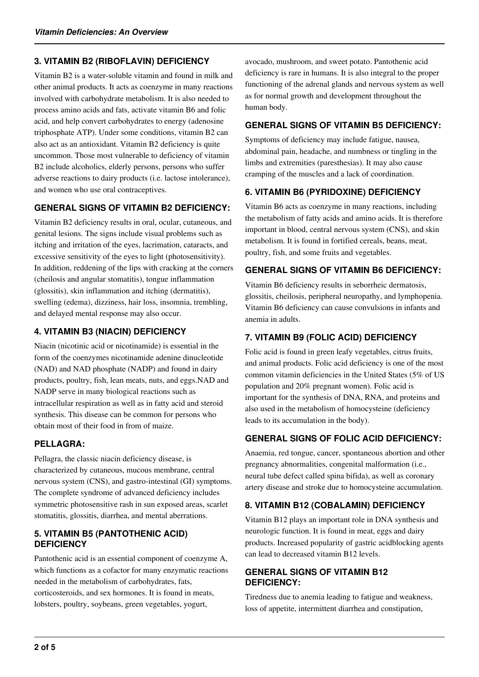### **3. VITAMIN B2 (RIBOFLAVIN) DEFICIENCY**

Vitamin B2 is a water-soluble vitamin and found in milk and other animal products. It acts as coenzyme in many reactions involved with carbohydrate metabolism. It is also needed to process amino acids and fats, activate vitamin B6 and folic acid, and help convert carbohydrates to energy (adenosine triphosphate ATP). Under some conditions, vitamin B2 can also act as an antioxidant. Vitamin B2 deficiency is quite uncommon. Those most vulnerable to deficiency of vitamin B2 include alcoholics, elderly persons, persons who suffer adverse reactions to dairy products (i.e. lactose intolerance), and women who use oral contraceptives.

#### **GENERAL SIGNS OF VITAMIN B2 DEFICIENCY:**

Vitamin B2 deficiency results in oral, ocular, cutaneous, and genital lesions. The signs include visual problems such as itching and irritation of the eyes, lacrimation, cataracts, and excessive sensitivity of the eyes to light (photosensitivity). In addition, reddening of the lips with cracking at the corners (cheilosis and angular stomatitis), tongue inflammation (glossitis), skin inflammation and itching (dermatitis), swelling (edema), dizziness, hair loss, insomnia, trembling, and delayed mental response may also occur.

## **4. VITAMIN B3 (NIACIN) DEFICIENCY**

Niacin (nicotinic acid or nicotinamide) is essential in the form of the coenzymes nicotinamide adenine dinucleotide (NAD) and NAD phosphate (NADP) and found in dairy products, poultry, fish, lean meats, nuts, and eggs.NAD and NADP serve in many biological reactions such as intracellular respiration as well as in fatty acid and steroid synthesis. This disease can be common for persons who obtain most of their food in from of maize.

#### **PELLAGRA:**

Pellagra, the classic niacin deficiency disease, is characterized by cutaneous, mucous membrane, central nervous system (CNS), and gastro-intestinal (GI) symptoms. The complete syndrome of advanced deficiency includes symmetric photosensitive rash in sun exposed areas, scarlet stomatitis, glossitis, diarrhea, and mental aberrations.

#### **5. VITAMIN B5 (PANTOTHENIC ACID) DEFICIENCY**

Pantothenic acid is an essential component of coenzyme A, which functions as a cofactor for many enzymatic reactions needed in the metabolism of carbohydrates, fats, corticosteroids, and sex hormones. It is found in meats, lobsters, poultry, soybeans, green vegetables, yogurt,

avocado, mushroom, and sweet potato. Pantothenic acid deficiency is rare in humans. It is also integral to the proper functioning of the adrenal glands and nervous system as well as for normal growth and development throughout the human body.

## **GENERAL SIGNS OF VITAMIN B5 DEFICIENCY:**

Symptoms of deficiency may include fatigue, nausea, abdominal pain, headache, and numbness or tingling in the limbs and extremities (paresthesias). It may also cause cramping of the muscles and a lack of coordination.

## **6. VITAMIN B6 (PYRIDOXINE) DEFICIENCY**

Vitamin B6 acts as coenzyme in many reactions, including the metabolism of fatty acids and amino acids. It is therefore important in blood, central nervous system (CNS), and skin metabolism. It is found in fortified cereals, beans, meat, poultry, fish, and some fruits and vegetables.

#### **GENERAL SIGNS OF VITAMIN B6 DEFICIENCY:**

Vitamin B6 deficiency results in seborrheic dermatosis, glossitis, cheilosis, peripheral neuropathy, and lymphopenia. Vitamin B6 deficiency can cause convulsions in infants and anemia in adults.

## **7. VITAMIN B9 (FOLIC ACID) DEFICIENCY**

Folic acid is found in green leafy vegetables, citrus fruits, and animal products. Folic acid deficiency is one of the most common vitamin deficiencies in the United States (5% of US population and 20% pregnant women). Folic acid is important for the synthesis of DNA, RNA, and proteins and also used in the metabolism of homocysteine (deficiency leads to its accumulation in the body).

## **GENERAL SIGNS OF FOLIC ACID DEFICIENCY:**

Anaemia, red tongue, cancer, spontaneous abortion and other pregnancy abnormalities, congenital malformation (i.e., neural tube defect called spina bifida), as well as coronary artery disease and stroke due to homocysteine accumulation.

## **8. VITAMIN B12 (COBALAMIN) DEFICIENCY**

Vitamin B12 plays an important role in DNA synthesis and neurologic function. It is found in meat, eggs and dairy products. Increased popularity of gastric acidblocking agents can lead to decreased vitamin B12 levels.

#### **GENERAL SIGNS OF VITAMIN B12 DEFICIENCY:**

Tiredness due to anemia leading to fatigue and weakness, loss of appetite, intermittent diarrhea and constipation,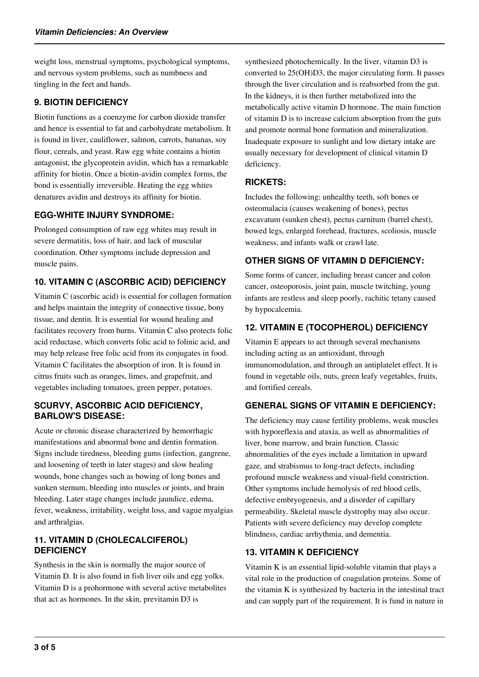weight loss, menstrual symptoms, psychological symptoms, and nervous system problems, such as numbness and tingling in the feet and hands.

### **9. BIOTIN DEFICIENCY**

Biotin functions as a coenzyme for carbon dioxide transfer and hence is essential to fat and carbohydrate metabolism. It is found in liver, cauliflower, salmon, carrots, bananas, soy flour, cereals, and yeast. Raw egg white contains a biotin antagonist, the glycoprotein avidin, which has a remarkable affinity for biotin. Once a biotin-avidin complex forms, the bond is essentially irreversible. Heating the egg whites denatures avidin and destroys its affinity for biotin.

#### **EGG-WHITE INJURY SYNDROME:**

Prolonged consumption of raw egg whites may result in severe dermatitis, loss of hair, and lack of muscular coordination. Other symptoms include depression and muscle pains.

## **10. VITAMIN C (ASCORBIC ACID) DEFICIENCY**

Vitamin C (ascorbic acid) is essential for collagen formation and helps maintain the integrity of connective tissue, bony tissue, and dentin. It is essential for wound healing and facilitates recovery from burns. Vitamin C also protects folic acid reductase, which converts folic acid to folinic acid, and may help release free folic acid from its conjugates in food. Vitamin C facilitates the absorption of iron. It is found in citrus fruits such as oranges, limes, and grapefruit, and vegetables including tomatoes, green pepper, potatoes.

#### **SCURVY, ASCORBIC ACID DEFICIENCY, BARLOW'S DISEASE:**

Acute or chronic disease characterized by hemorrhagic manifestations and abnormal bone and dentin formation. Signs include tiredness, bleeding gums (infection, gangrene, and loosening of teeth in later stages) and slow healing wounds, bone changes such as bowing of long bones and sunken sternum, bleeding into muscles or joints, and brain bleeding. Later stage changes include jaundice, edema, fever, weakness, irritability, weight loss, and vague myalgias and arthralgias.

#### **11. VITAMIN D (CHOLECALCIFEROL) DEFICIENCY**

Synthesis in the skin is normally the major source of Vitamin D. It is also found in fish liver oils and egg yolks. Vitamin D is a prohormone with several active metabolites that act as hormones. In the skin, previtamin D3 is

synthesized photochemically. In the liver, vitamin D3 is converted to 25(OH)D3, the major circulating form. It passes through the liver circulation and is reabsorbed from the gut. In the kidneys, it is then further metabolized into the metabolically active vitamin D hormone. The main function of vitamin D is to increase calcium absorption from the guts and promote normal bone formation and mineralization. Inadequate exposure to sunlight and low dietary intake are usually necessary for development of clinical vitamin D deficiency.

## **RICKETS:**

Includes the following: unhealthy teeth, soft bones or osteomalacia (causes weakening of bones), pectus excavatum (sunken chest), pectus carnitum (barrel chest), bowed legs, enlarged forehead, fractures, scoliosis, muscle weakness, and infants walk or crawl late.

## **OTHER SIGNS OF VITAMIN D DEFICIENCY:**

Some forms of cancer, including breast cancer and colon cancer, osteoporosis, joint pain, muscle twitching, young infants are restless and sleep poorly, rachitic tetany caused by hypocalcemia.

## **12. VITAMIN E (TOCOPHEROL) DEFICIENCY**

Vitamin E appears to act through several mechanisms including acting as an antioxidant, through immunomodulation, and through an antiplatelet effect. It is found in vegetable oils, nuts, green leafy vegetables, fruits, and fortified cereals.

## **GENERAL SIGNS OF VITAMIN E DEFICIENCY:**

The deficiency may cause fertility problems, weak muscles with hyporeflexia and ataxia, as well as abnormalities of liver, bone marrow, and brain function. Classic abnormalities of the eyes include a limitation in upward gaze, and strabismus to long-tract defects, including profound muscle weakness and visual-field constriction. Other symptoms include hemolysis of red blood cells, defective embryogenesis, and a disorder of capillary permeability. Skeletal muscle dystrophy may also occur. Patients with severe deficiency may develop complete blindness, cardiac arrhythmia, and dementia.

#### **13. VITAMIN K DEFICIENCY**

Vitamin K is an essential lipid-soluble vitamin that plays a vital role in the production of coagulation proteins. Some of the vitamin K is synthesized by bacteria in the intestinal tract and can supply part of the requirement. It is fund in nature in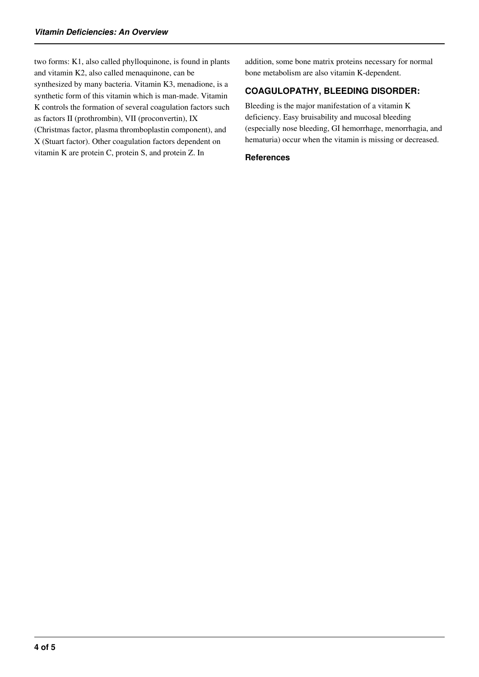two forms: K1, also called phylloquinone, is found in plants and vitamin K2, also called menaquinone, can be synthesized by many bacteria. Vitamin K3, menadione, is a synthetic form of this vitamin which is man-made. Vitamin K controls the formation of several coagulation factors such as factors II (prothrombin), VII (proconvertin), IX (Christmas factor, plasma thromboplastin component), and X (Stuart factor). Other coagulation factors dependent on vitamin K are protein C, protein S, and protein Z. In

addition, some bone matrix proteins necessary for normal bone metabolism are also vitamin K-dependent.

## **COAGULOPATHY, BLEEDING DISORDER:**

Bleeding is the major manifestation of a vitamin K deficiency. Easy bruisability and mucosal bleeding (especially nose bleeding, GI hemorrhage, menorrhagia, and hematuria) occur when the vitamin is missing or decreased.

#### **References**